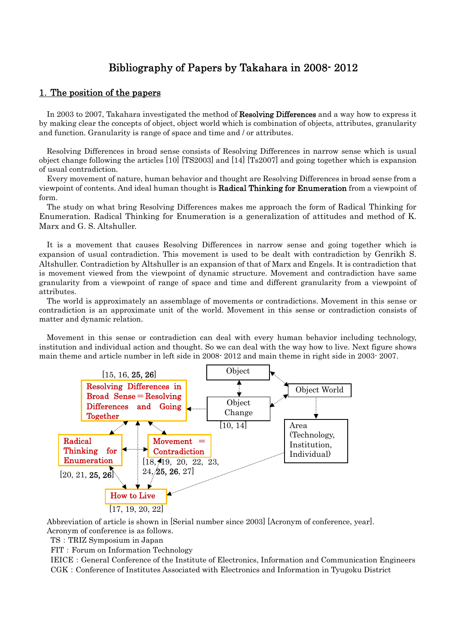# Bibliography of Papers by Takahara in 2008- 2012

## 1.The position of the papers

In 2003 to 2007, Takahara investigated the method of Resolving Differences and a way how to express it by making clear the concepts of object, object world which is combination of objects, attributes, granularity and function. Granularity is range of space and time and / or attributes.

Resolving Differences in broad sense consists of Resolving Differences in narrow sense which is usual object change following the articles [10] [TS2003] and [14] [Ts2007] and going together which is expansion of usual contradiction.

Every movement of nature, human behavior and thought are Resolving Differences in broad sense from a viewpoint of contents. And ideal human thought is Radical Thinking for Enumeration from a viewpoint of form.

The study on what bring Resolving Differences makes me approach the form of Radical Thinking for Enumeration. Radical Thinking for Enumeration is a generalization of attitudes and method of K. Marx and G. S. Altshuller.

It is a movement that causes Resolving Differences in narrow sense and going together which is expansion of usual contradiction. This movement is used to be dealt with contradiction by Genrikh S. Altshuller. Contradiction by Altshuller is an expansion of that of Marx and Engels. It is contradiction that is movement viewed from the viewpoint of dynamic structure. Movement and contradiction have same granularity from a viewpoint of range of space and time and different granularity from a viewpoint of attributes.

The world is approximately an assemblage of movements or contradictions. Movement in this sense or contradiction is an approximate unit of the world. Movement in this sense or contradiction consists of matter and dynamic relation.

Movement in this sense or contradiction can deal with every human behavior including technology, institution and individual action and thought. So we can deal with the way how to live. Next figure shows main theme and article number in left side in 2008- 2012 and main theme in right side in 2003- 2007.



Abbreviation of article is shown in [Serial number since 2003] [Acronym of conference, year]. Acronym of conference is as follows.

TS:TRIZ Symposium in Japan

FIT: Forum on Information Technology

IEICE: General Conference of the Institute of Electronics, Information and Communication Engineers CGK: Conference of Institutes Associated with Electronics and Information in Tyugoku District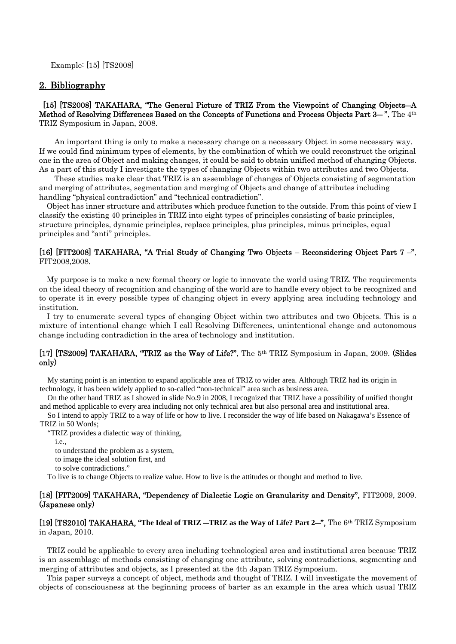Example: [15] [TS2008]

## 2. Bibliography

 [15] [TS2008] TAKAHARA, "The General Picture of TRIZ From the Viewpoint of Changing Objects―A Method of Resolving Differences Based on the Concepts of Functions and Process Objects Part 3—", The 4<sup>th</sup> TRIZ Symposium in Japan, 2008.

An important thing is only to make a necessary change on a necessary Object in some necessary way. If we could find minimum types of elements, by the combination of which we could reconstruct the original one in the area of Object and making changes, it could be said to obtain unified method of changing Objects. As a part of this study I investigate the types of changing Objects within two attributes and two Objects.

These studies make clear that TRIZ is an assemblage of changes of Objects consisting of segmentation and merging of attributes, segmentation and merging of Objects and change of attributes including handling "physical contradiction" and "technical contradiction".

Object has inner structure and attributes which produce function to the outside. From this point of view I classify the existing 40 principles in TRIZ into eight types of principles consisting of basic principles, structure principles, dynamic principles, replace principles, plus principles, minus principles, equal principles and "anti" principles.

#### [16] [FIT2008] TAKAHARA, "A Trial Study of Changing Two Objects – Reconsidering Object Part 7 –", FIT2008,2008.

My purpose is to make a new formal theory or logic to innovate the world using TRIZ. The requirements on the ideal theory of recognition and changing of the world are to handle every object to be recognized and to operate it in every possible types of changing object in every applying area including technology and institution.

I try to enumerate several types of changing Object within two attributes and two Objects. This is a mixture of intentional change which I call Resolving Differences, unintentional change and autonomous change including contradiction in the area of technology and institution.

### [17] [TS2009] TAKAHARA, "TRIZ as the Way of Life?", The 5<sup>th</sup> TRIZ Symposium in Japan, 2009. (Slides only)

My starting point is an intention to expand applicable area of TRIZ to wider area. Although TRIZ had its origin in technology, it has been widely applied to so-called "non-technical" area such as business area.

On the other hand TRIZ as I showed in slide No.9 in 2008, I recognized that TRIZ have a possibility of unified thought and method applicable to every area including not only technical area but also personal area and institutional area.

So I intend to apply TRIZ to a way of life or how to live. I reconsider the way of life based on Nakagawa's Essence of TRIZ in 50 Words;

"TRIZ provides a dialectic way of thinking,

i.e.,

to understand the problem as a system,

to image the ideal solution first, and

to solve contradictions."

To live is to change Objects to realize value. How to live is the attitudes or thought and method to live.

#### [18] [FIT2009] TAKAHARA, "Dependency of Dialectic Logic on Granularity and Density", FIT2009, 2009. (Japanese only)

[19] [TS2010] TAKAHARA, "**The Ideal of TRIZ** ―**TRIZ as the Way of Life? Part 2**―", The 6th TRIZ Symposium in Japan, 2010.

TRIZ could be applicable to every area including technological area and institutional area because TRIZ is an assemblage of methods consisting of changing one attribute, solving contradictions, segmenting and merging of attributes and objects, as I presented at the 4th Japan TRIZ Symposium.

This paper surveys a concept of object, methods and thought of TRIZ. I will investigate the movement of objects of consciousness at the beginning process of barter as an example in the area which usual TRIZ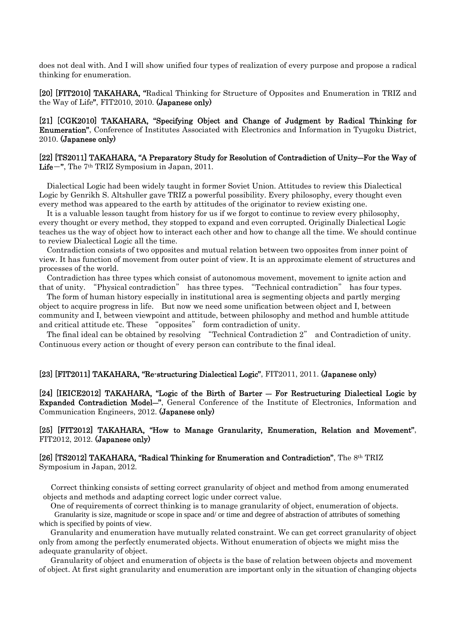does not deal with. And I will show unified four types of realization of every purpose and propose a radical thinking for enumeration.

[20] [FIT2010] TAKAHARA, "Radical Thinking for Structure of Opposites and Enumeration in TRIZ and the Way of Life", FIT2010, 2010. (Japanese only)

[21] [CGK2010] TAKAHARA, "Specifying Object and Change of Judgment by Radical Thinking for Enumeration", Conference of Institutes Associated with Electronics and Information in Tyugoku District, 2010. (Japanese only)

#### [22] [TS2011] TAKAHARA, "A Preparatory Study for Resolution of Contradiction of Unity―For the Way of Life-", The 7<sup>th</sup> TRIZ Symposium in Japan, 2011.

Dialectical Logic had been widely taught in former Soviet Union. Attitudes to review this Dialectical Logic by Genrikh S. Altshuller gave TRIZ a powerful possibility. Every philosophy, every thought even every method was appeared to the earth by attitudes of the originator to review existing one.

It is a valuable lesson taught from history for us if we forgot to continue to review every philosophy, every thought or every method, they stopped to expand and even corrupted. Originally Dialectical Logic teaches us the way of object how to interact each other and how to change all the time. We should continue to review Dialectical Logic all the time.

Contradiction consists of two opposites and mutual relation between two opposites from inner point of view. It has function of movement from outer point of view. It is an approximate element of structures and processes of the world.

Contradiction has three types which consist of autonomous movement, movement to ignite action and that of unity. "Physical contradiction" has three types. "Technical contradiction" has four types.

The form of human history especially in institutional area is segmenting objects and partly merging object to acquire progress in life. But now we need some unification between object and I, between community and I, between viewpoint and attitude, between philosophy and method and humble attitude and critical attitude etc. These "opposites" form contradiction of unity.

The final ideal can be obtained by resolving "Technical Contradiction 2" and Contradiction of unity. Continuous every action or thought of every person can contribute to the final ideal.

#### [23] [FIT2011] TAKAHARA, "Re-structuring Dialectical Logic", FIT2011, 2011. (Japanese only)

[24] [IEICE2012] TAKAHARA, "Logic of the Birth of Barter ― For Restructuring Dialectical Logic by Expanded Contradiction Model―", General Conference of the Institute of Electronics, Information and Communication Engineers, 2012. (Japanese only)

## [25] [FIT2012] TAKAHARA, "How to Manage Granularity, Enumeration, Relation and Movement", FIT2012, 2012. (Japanese only)

#### [26] [TS2012] TAKAHARA, "Radical Thinking for Enumeration and Contradiction", The 8th TRIZ Symposium in Japan, 2012.

Correct thinking consists of setting correct granularity of object and method from among enumerated objects and methods and adapting correct logic under correct value.

One of requirements of correct thinking is to manage granularity of object, enumeration of objects. Granularity is size, magnitude or scope in space and/ or time and degree of abstraction of attributes of something which is specified by points of view.

Granularity and enumeration have mutually related constraint. We can get correct granularity of object only from among the perfectly enumerated objects. Without enumeration of objects we might miss the adequate granularity of object.

Granularity of object and enumeration of objects is the base of relation between objects and movement of object. At first sight granularity and enumeration are important only in the situation of changing objects